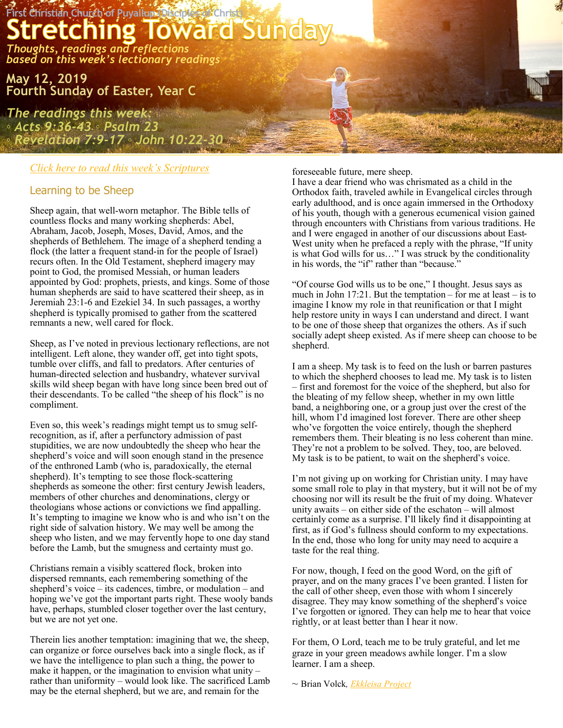

# *[Click here to read this week](https://lectionary.library.vanderbilt.edu/texts.php?id=136)'s Scriptures*

## Learning to be Sheep

Sheep again, that well-worn metaphor. The Bible tells of countless flocks and many working shepherds: Abel, Abraham, Jacob, Joseph, Moses, David, Amos, and the shepherds of Bethlehem. The image of a shepherd tending a flock (the latter a frequent stand-in for the people of Israel) recurs often. In the Old Testament, shepherd imagery may point to God, the promised Messiah, or human leaders appointed by God: prophets, priests, and kings. Some of those human shepherds are said to have scattered their sheep, as in Jeremiah 23:1-6 and Ezekiel 34. In such passages, a worthy shepherd is typically promised to gather from the scattered remnants a new, well cared for flock.

Sheep, as I've noted in previous lectionary reflections, are not intelligent. Left alone, they wander off, get into tight spots, tumble over cliffs, and fall to predators. After centuries of human-directed selection and husbandry, whatever survival skills wild sheep began with have long since been bred out of their descendants. To be called "the sheep of his flock" is no compliment.

Even so, this week's readings might tempt us to smug selfrecognition, as if, after a perfunctory admission of past stupidities, we are now undoubtedly the sheep who hear the shepherd's voice and will soon enough stand in the presence of the enthroned Lamb (who is, paradoxically, the eternal shepherd). It's tempting to see those flock-scattering shepherds as someone the other: first century Jewish leaders, members of other churches and denominations, clergy or theologians whose actions or convictions we find appalling. It's tempting to imagine we know who is and who isn't on the right side of salvation history. We may well be among the sheep who listen, and we may fervently hope to one day stand before the Lamb, but the smugness and certainty must go.

Christians remain a visibly scattered flock, broken into dispersed remnants, each remembering something of the shepherd's voice – its cadences, timbre, or modulation – and hoping we've got the important parts right. These wooly bands have, perhaps, stumbled closer together over the last century, but we are not yet one.

Therein lies another temptation: imagining that we, the sheep, can organize or force ourselves back into a single flock, as if we have the intelligence to plan such a thing, the power to make it happen, or the imagination to envision what unity – rather than uniformity – would look like. The sacrificed Lamb may be the eternal shepherd, but we are, and remain for the

foreseeable future, mere sheep.

I have a dear friend who was chrismated as a child in the Orthodox faith, traveled awhile in Evangelical circles through early adulthood, and is once again immersed in the Orthodoxy of his youth, though with a generous ecumenical vision gained through encounters with Christians from various traditions. He and I were engaged in another of our discussions about East-West unity when he prefaced a reply with the phrase, "If unity is what God wills for us…" I was struck by the conditionality in his words, the "if" rather than "because."

"Of course God wills us to be one," I thought. Jesus says as much in John 17:21. But the temptation – for me at least – is to imagine I know my role in that reunification or that I might help restore unity in ways I can understand and direct. I want to be one of those sheep that organizes the others. As if such socially adept sheep existed. As if mere sheep can choose to be shepherd.

I am a sheep. My task is to feed on the lush or barren pastures to which the shepherd chooses to lead me. My task is to listen – first and foremost for the voice of the shepherd, but also for the bleating of my fellow sheep, whether in my own little band, a neighboring one, or a group just over the crest of the hill, whom I'd imagined lost forever. There are other sheep who've forgotten the voice entirely, though the shepherd remembers them. Their bleating is no less coherent than mine. They're not a problem to be solved. They, too, are beloved. My task is to be patient, to wait on the shepherd's voice.

I'm not giving up on working for Christian unity. I may have some small role to play in that mystery, but it will not be of my choosing nor will its result be the fruit of my doing. Whatever unity awaits – on either side of the eschaton – will almost certainly come as a surprise. I'll likely find it disappointing at first, as if God's fullness should conform to my expectations. In the end, those who long for unity may need to acquire a taste for the real thing.

For now, though, I feed on the good Word, on the gift of prayer, and on the many graces I've been granted. I listen for the call of other sheep, even those with whom I sincerely disagree. They may know something of the shepherd's voice I've forgotten or ignored. They can help me to hear that voice rightly, or at least better than I hear it now.

For them, O Lord, teach me to be truly grateful, and let me graze in your green meadows awhile longer. I'm a slow learner. I am a sheep.

*~* Brian Volck*, [Ekkleisa Project](http://www.ekklesiaproject.org/blog/2016/04/learning-to-be-sheep/)*